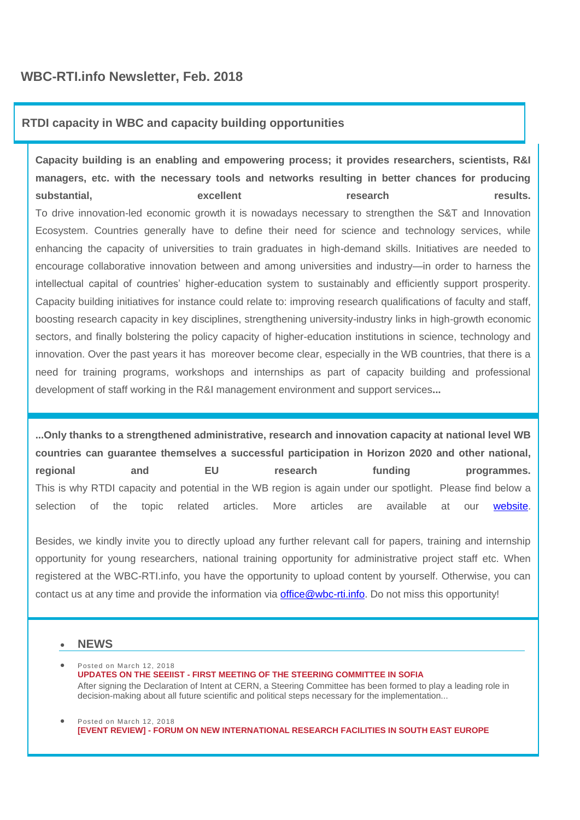# **RTDI capacity in WBC and capacity building opportunities**

**Capacity building is an enabling and empowering process; it provides researchers, scientists, R&I managers, etc. with the necessary tools and networks resulting in better chances for producing substantial, excellent research results.** To drive innovation-led economic growth it is nowadays necessary to strengthen the S&T and Innovation Ecosystem. Countries generally have to define their need for science and technology services, while enhancing the capacity of universities to train graduates in high-demand skills. Initiatives are needed to encourage collaborative innovation between and among universities and industry—in order to harness the intellectual capital of countries' higher-education system to sustainably and efficiently support prosperity. Capacity building initiatives for instance could relate to: improving research qualifications of faculty and staff, boosting research capacity in key disciplines, strengthening university-industry links in high-growth economic sectors, and finally bolstering the policy capacity of higher-education institutions in science, technology and innovation. Over the past years it has moreover become clear, especially in the WB countries, that there is a need for training programs, workshops and internships as part of capacity building and professional development of staff working in the R&I management environment and support services**...**

**...Only thanks to a strengthened administrative, research and innovation capacity at national level WB countries can guarantee themselves a successful participation in Horizon 2020 and other national, regional and EU research funding programmes.**  This is why RTDI capacity and potential in the WB region is again under our spotlight. Please find below a selection of the topic related articles. More articles are available at our [website.](https://wbc-rti.info/theme/21)

Besides, we kindly invite you to directly upload any further relevant call for papers, training and internship opportunity for young researchers, national training opportunity for administrative project staff etc. When registered at the WBC-RTI.info, you have the opportunity to upload content by yourself. Otherwise, you can contact us at any time and provide the information via [office@wbc-rti.info.](office@wbc-rti.info) Do not miss this opportunity!

# **NEWS**

 Posted on March 12, 2018 **UPDATES ON THE SEEIIST - [FIRST MEETING OF THE STEERING COMMITTEE IN SOFIA](https://wbc-rti.info/object/news/17008)** After signing the Declaration of Intent at CERN, a Steering Committee has been formed to play a leading role in decision-making about all future scientific and political steps necessary for the implementation...

 Posted on March 12, 2018 **[EVENT REVIEW] - [FORUM ON NEW INTERNATIONAL RESEARCH FACILITIES IN SOUTH EAST EUROPE](https://wbc-rti.info/object/news/17005)**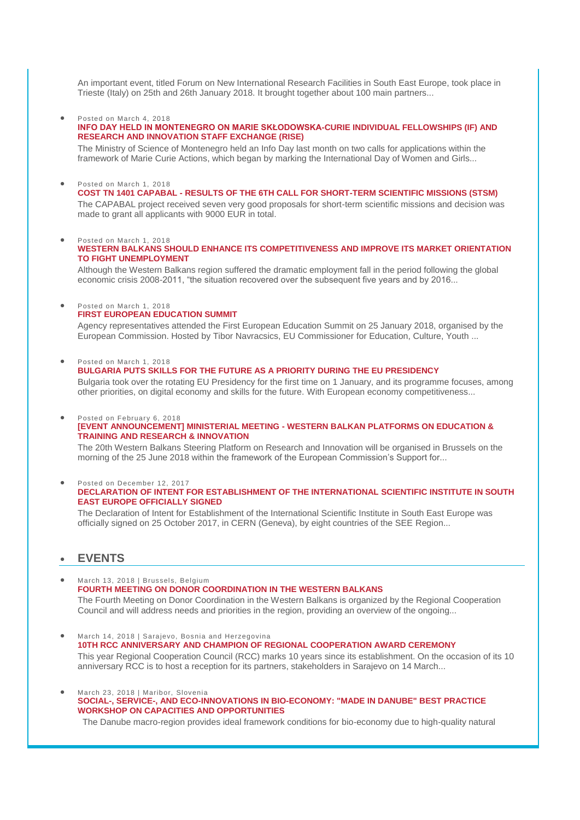An important event, titled Forum on New International Research Facilities in South East Europe, took place in Trieste (Italy) on 25th and 26th January 2018. It brought together about 100 main partners...

#### Posted on March 4, 2018

### **[INFO DAY HELD IN MONTENEGRO ON MARIE SKŁODOWSKA-CURIE INDIVIDUAL FELLOWSHIPS \(IF\) AND](https://wbc-rti.info/object/news/16970)  [RESEARCH AND INNOVATION STAFF EXCHANGE \(RISE\)](https://wbc-rti.info/object/news/16970)**

The Ministry of Science of Montenegro held an Info Day last month on two calls for applications within the framework of Marie Curie Actions, which began by marking the International Day of Women and Girls...

Posted on March 1, <sup>2018</sup>

**COST TN 1401 CAPABAL - [RESULTS OF THE 6TH CALL FOR SHORT-TERM SCIENTIFIC MISSIONS \(STSM\)](https://wbc-rti.info/object/news/16960)**  The CAPABAL project received seven very good proposals for short-term scientific missions and decision was made to grant all applicants with 9000 EUR in total.

#### Posted on March 1, 2018

### **[WESTERN BALKANS SHOULD ENHANCE ITS COMPETITIVENESS AND IMPROVE ITS MARKET ORIENTATION](https://wbc-rti.info/object/news/16959)  [TO FIGHT UNEMPLOYMENT](https://wbc-rti.info/object/news/16959)**

Although the Western Balkans region suffered the dramatic employment fall in the period following the global economic crisis 2008-2011, "the situation recovered over the subsequent five years and by 2016...

#### Posted on March 1, 2018 **[FIRST EUROPEAN EDUCATION SUMMIT](https://wbc-rti.info/object/news/16958)**

Agency representatives attended the First European Education Summit on 25 January 2018, organised by the European Commission. Hosted by Tibor Navracsics, EU Commissioner for Education, Culture, Youth ...

Posted on March 1, 2018

### **[BULGARIA PUTS SKILLS FOR THE FUTURE AS A PRIORITY DURING THE EU PRESIDENCY](https://wbc-rti.info/object/news/16957)**

Bulgaria took over the rotating EU Presidency for the first time on 1 January, and its programme focuses, among other priorities, on digital economy and skills for the future. With European economy competitiveness...

#### Posted on February 6, 2018

### **[EVENT ANNOUNCEMENT] MINISTERIAL MEETING - [WESTERN BALKAN PLATFORMS ON EDUCATION &](https://wbc-rti.info/object/news/16858)  [TRAINING AND RESEARCH & INNOVATION](https://wbc-rti.info/object/news/16858)**

The 20th Western Balkans Steering Platform on Research and Innovation will be organised in Brussels on the morning of the 25 June 2018 within the framework of the European Commission's Support for...

#### Posted on December 12, 2017

### **[DECLARATION OF INTENT FOR ESTABLISHMENT OF THE INTERNATIONAL SCIENTIFIC INSTITUTE IN SOUTH](https://wbc-rti.info/object/news/17003)  [EAST EUROPE OFFICIALLY SIGNED](https://wbc-rti.info/object/news/17003)**

The Declaration of Intent for Establishment of the International Scientific Institute in South East Europe was officially signed on 25 October 2017, in CERN (Geneva), by eight countries of the SEE Region...

# **EVENTS**

- March 13, 2018 | Brussels, Belgium **[FOURTH MEETING ON DONOR COORDINATION IN THE WESTERN BALKANS](https://wbc-rti.info/object/event/16954)** The Fourth Meeting on Donor Coordination in the Western Balkans is organized by the Regional Cooperation Council and will address needs and priorities in the region, providing an overview of the ongoing...
- March 14, 2018 | Sarajevo, Bosnia and Herzegovina **[10TH RCC ANNIVERSARY AND CHAMPION OF REGIONAL COOPERATION AWARD CEREMONY](https://wbc-rti.info/object/event/16956)**  This year Regional Cooperation Council (RCC) marks 10 years since its establishment. On the occasion of its 10 anniversary RCC is to host a reception for its partners, stakeholders in Sarajevo on 14 March...
- March 23, 2018 | Maribor, Slovenia **[SOCIAL-, SERVICE-, AND ECO-INNOVATIONS IN BIO-ECONOMY: "MADE IN DANUBE" BEST PRACTICE](https://wbc-rti.info/object/event/17018)  [WORKSHOP ON CAPACITIES AND OPPORTUNITIES](https://wbc-rti.info/object/event/17018)**

The Danube macro-region provides ideal framework conditions for bio-economy due to high-quality natural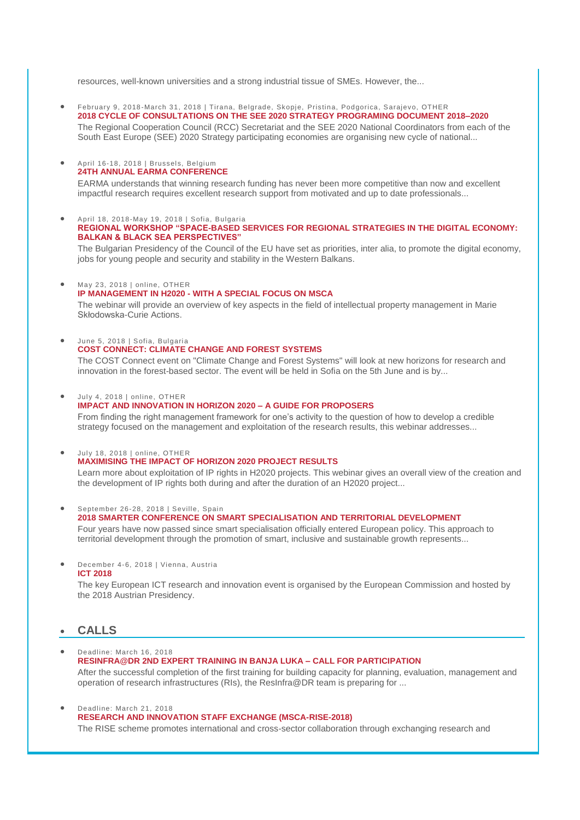resources, well-known universities and a strong industrial tissue of SMEs. However, the...

 February 9, 2018-March 31, 2018 | Tirana, Belgrade, Skopje, Pristina, Podgorica, Sarajevo, OTHER **[2018 CYCLE OF CONSULTATIONS ON THE SEE 2020 STRATEGY PROGRAMING DOCUMENT 2018–2020](https://wbc-rti.info/object/event/16955)**  The Regional Cooperation Council (RCC) Secretariat and the SEE 2020 National Coordinators from each of the South East Europe (SEE) 2020 Strategy participating economies are organising new cycle of national...

# April 16-18, 2018 | Brussels, Belgium

**[24TH ANNUAL EARMA CONFERENCE](https://wbc-rti.info/object/event/17002)**

EARMA understands that winning research funding has never been more competitive than now and excellent impactful research requires excellent research support from motivated and up to date professionals...

 April 18, 2018-May 19, 2018 | Sofia, Bulgaria **[REGIONAL WORKSHOP "SPACE-BASED SERVICES FOR REGIONAL STRATEGIES IN THE DIGITAL ECONOMY:](https://wbc-rti.info/object/event/16969)  [BALKAN & BLACK SEA PERSPECTIVES"](https://wbc-rti.info/object/event/16969)**

The Bulgarian Presidency of the Council of the EU have set as priorities, inter alia, to promote the digital economy, jobs for young people and security and stability in the Western Balkans.

- May 23, 2018 | online, OTHER **IP MANAGEMENT IN H2020 - [WITH A SPECIAL FOCUS ON MSCA](https://wbc-rti.info/object/event/16989)** The webinar will provide an overview of key aspects in the field of intellectual property management in Marie Skłodowska-Curie Actions.
- June 5, 2018 | Sofia, Bulgaria **[COST CONNECT: CLIMATE CHANGE AND FOREST SYSTEMS](https://wbc-rti.info/object/event/16804)**

The COST Connect event on "Climate Change and Forest Systems" will look at new horizons for research and innovation in the forest-based sector. The event will be held in Sofia on the 5th June and is by...

July 4, 2018 | online, OTHER

# **[IMPACT AND INNOVATION IN HORIZON 2020 –](https://wbc-rti.info/object/event/16990) A GUIDE FOR PROPOSERS**

From finding the right management framework for one's activity to the question of how to develop a credible strategy focused on the management and exploitation of the research results, this webinar addresses...

July 18, 2018 | online, OTHER

## **[MAXIMISING THE IMPACT OF HORIZON 2020 PROJECT RESULTS](https://wbc-rti.info/object/event/16991)**

Learn more about exploitation of IP rights in H2020 projects. This webinar gives an overall view of the creation and the development of IP rights both during and after the duration of an H2020 project...

- September 26-28, 2018 | Seville, Spain **[2018 SMARTER CONFERENCE ON SMART SPECIALISATION AND TERRITORIAL DEVELOPMENT](https://wbc-rti.info/object/event/16982)** Four years have now passed since smart specialisation officially entered European policy. This approach to territorial development through the promotion of smart, inclusive and sustainable growth represents...
- December 4-6, 2018 | Vienna, Austria
	- **[ICT 2018](https://wbc-rti.info/object/event/16977)**

The key European ICT research and innovation event is organised by the European Commission and hosted by the 2018 Austrian Presidency.

# **CALLS**

 Deadline: March 16, 2018 **[RESINFRA@DR 2ND EXPERT TRAINING IN BANJA LUKA –](https://wbc-rti.info/object/call/16997) CALL FOR PARTICIPATION** After the successful completion of the first training for building capacity for planning, evaluation, management and operation of research infrastructures (RIs), the ResInfra@DR team is preparing for ...

```
 Deadline: March 21, 2018
```
**[RESEARCH AND INNOVATION STAFF EXCHANGE \(MSCA-RISE-2018\)](https://wbc-rti.info/object/call/16972)**

The RISE scheme promotes international and cross-sector collaboration through exchanging research and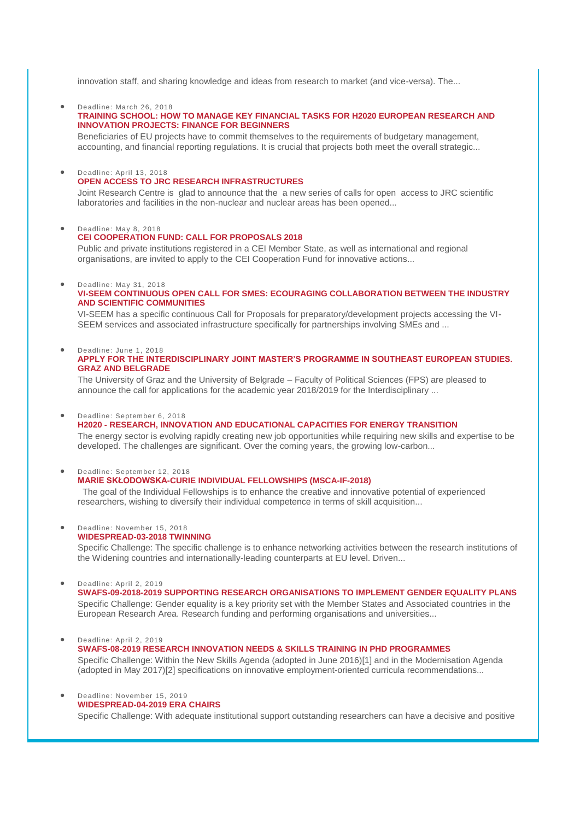innovation staff, and sharing knowledge and ideas from research to market (and vice-versa). The...

#### Deadline: March 26, 2018

## **[TRAINING SCHOOL: HOW TO MANAGE KEY FINANCIAL TASKS FOR H2020 EUROPEAN RESEARCH AND](https://wbc-rti.info/object/call/16994)  [INNOVATION PROJECTS: FINANCE FOR BEGINNERS](https://wbc-rti.info/object/call/16994)**

Beneficiaries of EU projects have to commit themselves to the requirements of budgetary management, accounting, and financial reporting regulations. It is crucial that projects both meet the overall strategic...

#### Deadline: April 13, 2018

# **[OPEN ACCESS TO JRC RESEARCH INFRASTRUCTURES](https://wbc-rti.info/object/call/16852)**

Joint Research Centre is glad to announce that the a new series of calls for open access to JRC scientific laboratories and facilities in the non-nuclear and nuclear areas has been opened...

#### Deadline: May 8, 2018 **[CEI COOPERATION FUND: CALL FOR PROPOSALS 2018](https://wbc-rti.info/object/call/17009)**

Public and private institutions registered in a CEI Member State, as well as international and regional organisations, are invited to apply to the CEI Cooperation Fund for innovative actions...

#### Deadline: May 31, 2018

### **[VI-SEEM CONTINUOUS OPEN CALL FOR SMES: ECOURAGING COLLABORATION BETWEEN THE INDUSTRY](https://wbc-rti.info/object/call/16891)  [AND SCIENTIFIC COMMUNITIES](https://wbc-rti.info/object/call/16891)**

VI-SEEM has a specific continuous Call for Proposals for preparatory/development projects accessing the VI-SEEM services and associated infrastructure specifically for partnerships involving SMEs and ...

#### Deadline: June 1, 2018

### **[APPLY FOR THE INTERDISCIPLINARY JOINT MASTER'S PROGRAMME IN SOUTHEAST EUROPEAN STUDIES.](https://wbc-rti.info/object/call/16996)  [GRAZ AND BELGRADE](https://wbc-rti.info/object/call/16996)**

The University of Graz and the University of Belgrade – Faculty of Political Sciences (FPS) are pleased to announce the call for applications for the academic year 2018/2019 for the Interdisciplinary ...

#### Deadline: September 6, 2018

# **H2020 - [RESEARCH, INNOVATION AND EDUCATIONAL CAPACITIES FOR ENERGY TRANSITION](https://wbc-rti.info/object/call/16992)**

The energy sector is evolving rapidly creating new job opportunities while requiring new skills and expertise to be developed. The challenges are significant. Over the coming years, the growing low-carbon...

# Deadline: September 12, 2018

# **[MARIE SKŁODOWSKA-CURIE INDIVIDUAL FELLOWSHIPS \(MSCA-IF-2018\)](https://wbc-rti.info/object/call/16971)**

The goal of the Individual Fellowships is to enhance the creative and innovative potential of experienced researchers, wishing to diversify their individual competence in terms of skill acquisition...

# Deadline: November 15, 2018

# **[WIDESPREAD-03-2018 TWINNING](https://wbc-rti.info/object/call/16616)**

Specific Challenge: The specific challenge is to enhance networking activities between the research institutions of the Widening countries and internationally-leading counterparts at EU level. Driven...

#### Deadline: April 2, 2019

### **[SWAFS-09-2018-2019 SUPPORTING RESEARCH ORGANISATIONS TO IMPLEMENT GENDER EQUALITY PLANS](https://wbc-rti.info/object/call/16622)**  Specific Challenge: Gender equality is a key priority set with the Member States and Associated countries in the European Research Area. Research funding and performing organisations and universities...

# Deadline: April 2, 2019

# **[SWAFS-08-2019 RESEARCH INNOVATION NEEDS & SKILLS TRAINING IN PHD PROGRAMMES](https://wbc-rti.info/object/call/16621)**

Specific Challenge: Within the New Skills Agenda (adopted in June 2016)[1] and in the Modernisation Agenda (adopted in May 2017)[2] specifications on innovative employment-oriented curricula recommendations...

#### Deadline: November 15, 2019 **[WIDESPREAD-04-2019 ERA CHAIRS](https://wbc-rti.info/object/call/16617)**

Specific Challenge: With adequate institutional support outstanding researchers can have a decisive and positive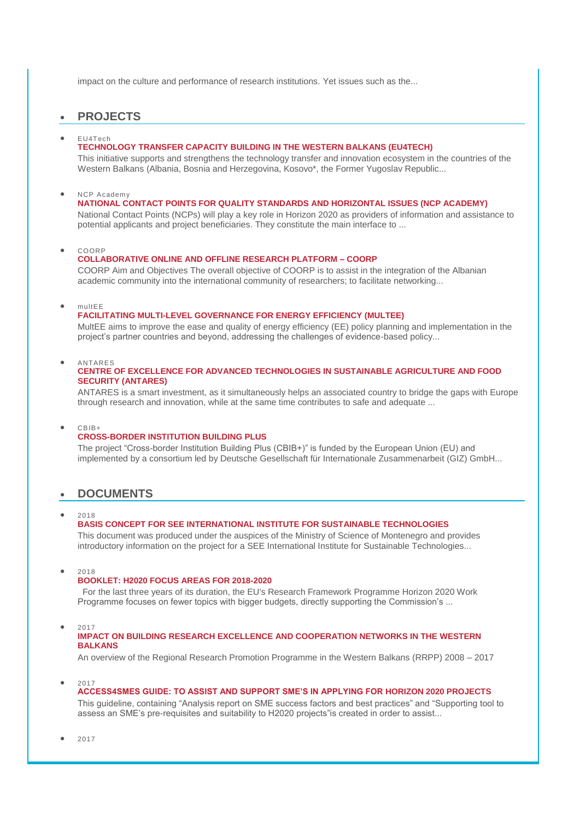impact on the culture and performance of research institutions. Yet issues such as the...

# **PROJECTS**

### $EIIAToch$

### **[TECHNOLOGY TRANSFER CAPACITY BUILDING IN THE WESTERN BALKANS \(EU4TECH\)](https://wbc-rti.info/object/project/16913)**

This initiative supports and strengthens the technology transfer and innovation ecosystem in the countries of the Western Balkans (Albania, Bosnia and Herzegovina, Kosovo\*, the Former Yugoslav Republic...

NCP Academy

**[NATIONAL CONTACT POINTS FOR QUALITY STANDARDS AND HORIZONTAL ISSUES \(NCP ACADEMY\)](https://wbc-rti.info/object/project/16029)** National Contact Points (NCPs) will play a key role in Horizon 2020 as providers of information and assistance to potential applicants and project beneficiaries. They constitute the main interface to ...

COORP

#### **[COLLABORATIVE ONLINE AND OFFLINE RESEARCH PLATFORM –](https://wbc-rti.info/object/project/16745) COORP**

COORP Aim and Objectives The overall objective of COORP is to assist in the integration of the Albanian academic community into the international community of researchers; to facilitate networking...

multEE

# **[FACILITATING MULTI-LEVEL GOVERNANCE FOR ENERGY EFFICIENCY \(MULTEE\)](https://wbc-rti.info/object/project/16359)**

MultEE aims to improve the ease and quality of energy efficiency (EE) policy planning and implementation in the project's partner countries and beyond, addressing the challenges of evidence-based policy...

ANTARES

### **[CENTRE OF EXCELLENCE FOR ADVANCED TECHNOLOGIES IN SUSTAINABLE AGRICULTURE AND FOOD](https://wbc-rti.info/object/project/16021)  [SECURITY \(ANTARES\)](https://wbc-rti.info/object/project/16021)**

ANTARES is a smart investment, as it simultaneously helps an associated country to bridge the gaps with Europe through research and innovation, while at the same time contributes to safe and adequate ...

 $\bullet$  CRIB+

### **[CROSS-BORDER INSTITUTION BUILDING PLUS](https://wbc-rti.info/object/project/15994)**

The project "Cross-border Institution Building Plus (CBIB+)" is funded by the European Union (EU) and implemented by a consortium led by Deutsche Gesellschaft für Internationale Zusammenarbeit (GIZ) GmbH...

# **DOCUMENTS**

#### $• 2018$

# **[BASIS CONCEPT FOR SEE INTERNATIONAL INSTITUTE FOR SUSTAINABLE TECHNOLOGIES](https://wbc-rti.info/object/document/17007)**

This document was produced under the auspices of the Ministry of Science of Montenegro and provides introductory information on the project for a SEE International Institute for Sustainable Technologies...

<sup>2018</sup>

# **[BOOKLET: H2020 FOCUS AREAS FOR 2018-2020](https://wbc-rti.info/object/document/16818)**

For the last three years of its duration, the EU's Research Framework Programme Horizon 2020 Work Programme focuses on fewer topics with bigger budgets, directly supporting the Commission's ...

<sup>2017</sup>

#### **[IMPACT ON BUILDING RESEARCH EXCELLENCE AND COOPERATION NETWORKS IN THE](https://wbc-rti.info/object/document/16947) WESTERN [BALKANS](https://wbc-rti.info/object/document/16947)**

An overview of the Regional Research Promotion Programme in the Western Balkans (RRPP) 2008 – 2017

<sup>2017</sup>

## **[ACCESS4SMES GUIDE: TO ASSIST AND SUPPORT SME'S IN APPLYING FOR HORIZON 2020 PROJECTS](https://wbc-rti.info/object/document/16825)**

This guideline, containing "Analysis report on SME success factors and best practices" and "Supporting tool to assess an SME's pre-requisites and suitability to H2020 projects"is created in order to assist...

<sup>2017</sup>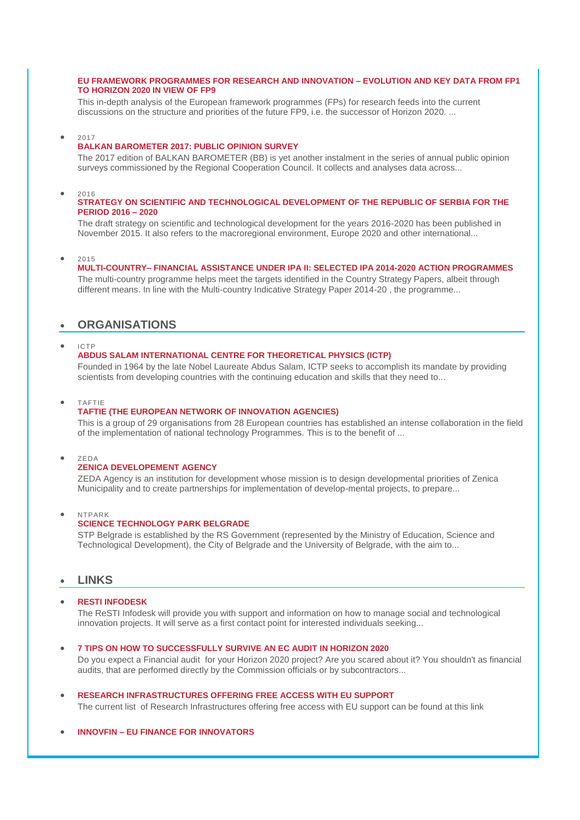### **[EU FRAMEWORK PROGRAMMES FOR RESEARCH AND INNOVATION –](https://wbc-rti.info/object/document/17014) EVOLUTION AND KEY DATA FROM FP1 [TO HORIZON 2020 IN VIEW OF FP9](https://wbc-rti.info/object/document/17014)**

This in-depth analysis of the European framework programmes (FPs) for research feeds into the current discussions on the structure and priorities of the future FP9, i.e. the successor of Horizon 2020. ...

### <sup>2017</sup>

# **[BALKAN BAROMETER 2017: PUBLIC OPINION SURVEY](https://wbc-rti.info/object/document/16551)**

The 2017 edition of BALKAN BAROMETER (BB) is yet another instalment in the series of annual public opinion surveys commissioned by the Regional Cooperation Council. It collects and analyses data across...

#### <sup>2016</sup>

### **[STRATEGY ON SCIENTIFIC AND TECHNOLOGICAL DEVELOPMENT OF THE REPUBLIC OF SERBIA FOR THE](https://wbc-rti.info/object/document/15517)  [PERIOD 2016 –](https://wbc-rti.info/object/document/15517) 2020**

The draft strategy on scientific and technological development for the years 2016-2020 has been published in November 2015. It also refers to the macroregional environment, Europe 2020 and other international...

### <sup>2015</sup>

## **MULTI-COUNTRY– [FINANCIAL ASSISTANCE UNDER IPA II: SELECTED IPA 2014-2020 ACTION PROGRAMMES](https://wbc-rti.info/object/document/14566)**

The multi-country programme helps meet the targets identified in the Country Strategy Papers, albeit through different means. In line with the Multi-country Indicative Strategy Paper 2014-20 , the programme...

# **ORGANISATIONS**

### $ICTP$

# **[ABDUS SALAM INTERNATIONAL CENTRE FOR THEORETICAL PHYSICS \(ICTP\)](https://wbc-rti.info/object/organisation/17004)**

Founded in 1964 by the late Nobel Laureate Abdus Salam, ICTP seeks to accomplish its mandate by providing scientists from developing countries with the continuing education and skills that they need to...

#### TAFTIE

### **[TAFTIE \(THE EUROPEAN NETWORK OF INNOVATION AGENCIES\)](https://wbc-rti.info/object/organisation/16975)**

This is a group of 29 organisations from 28 European countries has established an intense collaboration in the field of the implementation of national technology Programmes. This is to the benefit of ...

ZEDA

# **[ZENICA DEVELOPEMENT AGENCY](https://wbc-rti.info/object/organisation/15961)**

ZEDA Agency is an institution for development whose mission is to design developmental priorities of Zenica Municipality and to create partnerships for implementation of develop-mental projects, to prepare...

### NTPARK

# **[SCIENCE TECHNOLOGY PARK BELGRADE](https://wbc-rti.info/object/organisation/15960)**

STP Belgrade is established by the RS Government (represented by the Ministry of Education, Science and Technological Development), the City of Belgrade and the University of Belgrade, with the aim to...

# **LINKS**

## **[RESTI INFODESK](https://wbc-rti.info/object/link/16998)**

The ReSTI Infodesk will provide you with support and information on how to manage social and technological innovation projects. It will serve as a first contact point for interested individuals seeking...

- **[7 TIPS ON HOW TO SUCCESSFULLY SURVIVE AN EC AUDIT IN HORIZON 2020](https://wbc-rti.info/object/link/16995)** Do you expect a Financial audit for your Horizon 2020 project? Are you scared about it? You shouldn't as financial audits, that are performed directly by the Commission officials or by subcontractors...
- **[RESEARCH INFRASTRUCTURES OFFERING FREE ACCESS WITH EU SUPPORT](https://wbc-rti.info/object/link/16941)** The current list of Research Infrastructures offering free access with EU support can be found at this link

### **INNOVFIN – [EU FINANCE FOR INNOVATORS](https://wbc-rti.info/object/link/16936)**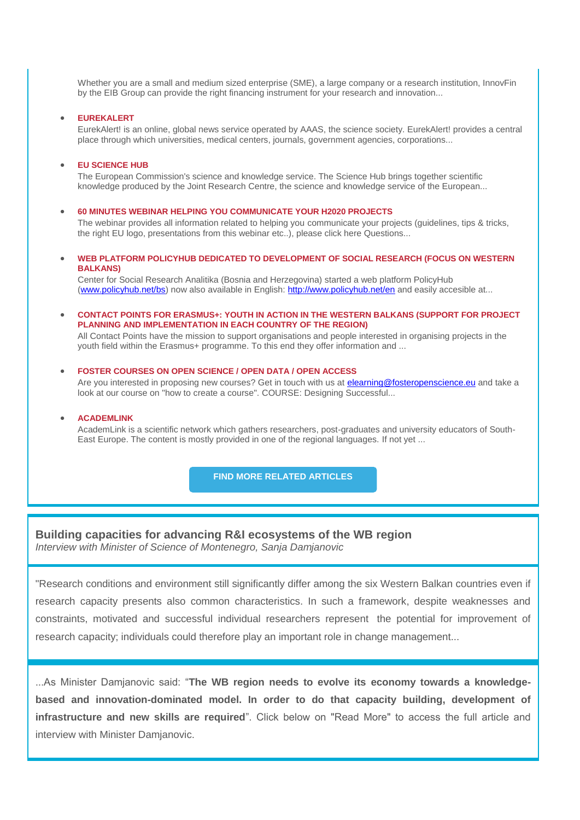Whether you are a small and medium sized enterprise (SME), a large company or a research institution, InnovFin by the EIB Group can provide the right financing instrument for your research and innovation...

#### **[EUREKALERT](https://wbc-rti.info/object/link/16799)**

EurekAlert! is an online, global news service operated by AAAS, the science society. EurekAlert! provides a central place through which universities, medical centers, journals, government agencies, corporations...

#### **[EU SCIENCE HUB](https://wbc-rti.info/object/link/16795)**

The European Commission's science and knowledge service. The Science Hub brings together scientific knowledge produced by the Joint Research Centre, the science and knowledge service of the European...

#### **[60 MINUTES WEBINAR HELPING YOU COMMUNICATE YOUR H2020 PROJECTS](https://wbc-rti.info/object/link/16788)**

The webinar provides all information related to helping you communicate your projects (guidelines, tips & tricks, the right EU logo, presentations from this webinar etc..), please click here Questions...

### **[WEB PLATFORM POLICYHUB DEDICATED TO DEVELOPMENT OF SOCIAL RESEARCH \(FOCUS ON WESTERN](https://wbc-rti.info/object/link/14623)  [BALKANS\)](https://wbc-rti.info/object/link/14623)**

Center for Social Research Analitika (Bosnia and Herzegovina) started a web platform PolicyHub [\(www.policyhub.net/bs\)](http://www.policyhub.net/bs) now also available in English:<http://www.policyhub.net/en> and easily accesible at...

### **[CONTACT POINTS FOR ERASMUS+: YOUTH IN ACTION IN THE WESTERN BALKANS \(SUPPORT FOR PROJECT](https://wbc-rti.info/object/link/14585)  [PLANNING AND IMPLEMENTATION IN EACH COUNTRY OF THE REGION\)](https://wbc-rti.info/object/link/14585)**

All Contact Points have the mission to support organisations and people interested in organising projects in the youth field within the Erasmus+ programme. To this end they offer information and ...

### **[FOSTER COURSES ON OPEN SCIENCE / OPEN DATA / OPEN ACCESS](https://wbc-rti.info/object/link/16697)**

Are you interested in proposing new courses? Get in touch with us at [elearning@fosteropenscience.eu](mailto:elearning@fosteropenscience.eu) and take a look at our course on "how to create a course". COURSE: Designing Successful...

#### **[ACADEMLINK](https://wbc-rti.info/object/link/13137)**

AcademLink is a scientific network which gathers researchers, post-graduates and university educators of South-East Europe. The content is mostly provided in one of the regional languages. If not yet ...

**[FIND MORE RELATED ARTICLES](https://wbc-rti.info/theme/21)**

# **Building capacities for advancing R&I ecosystems of the WB region** *Interview with Minister of Science of Montenegro, Sanja Damjanovic*

"Research conditions and environment still significantly differ among the six Western Balkan countries even if research capacity presents also common characteristics. In such a framework, despite weaknesses and constraints, motivated and successful individual researchers represent the potential for improvement of research capacity; individuals could therefore play an important role in change management...

...As Minister Damjanovic said: "**The WB region needs to evolve its economy towards a knowledgebased and innovation-dominated model. In order to do that capacity building, development of infrastructure and new skills are required**". Click below on "Read More" to access the full article and interview with Minister Damjanovic.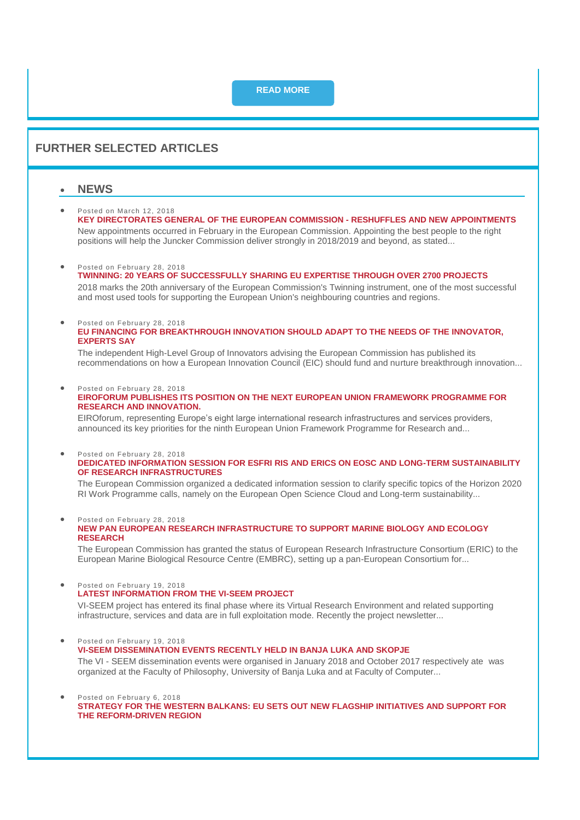# **[READ MORE](https://wbc-rti.info/in_focus)**

# **FURTHER SELECTED ARTICLES**

# **NEWS**

 Posted on March 12, 2018 **[KEY DIRECTORATES GENERAL OF THE EUROPEAN COMMISSION -](https://wbc-rti.info/object/news/17013) RESHUFFLES AND NEW APPOINTMENTS** New appointments occurred in February in the European Commission. Appointing the best people to the right positions will help the Juncker Commission deliver strongly in 2018/2019 and beyond, as stated...

Posted on February 28, 2018

**[TWINNING: 20 YEARS OF SUCCESSFULLY SHARING EU EXPERTISE THROUGH OVER 2700 PROJECTS](https://wbc-rti.info/object/news/16950)** 2018 marks the 20th anniversary of the European Commission's Twinning instrument, one of the most successful and most used tools for supporting the European Union's neighbouring countries and regions.

 Posted on February 28, 2018 **EU FINANCING FOR [BREAKTHROUGH INNOVATION SHOULD ADAPT TO THE NEEDS OF THE INNOVATOR,](https://wbc-rti.info/object/news/16949)  [EXPERTS SAY](https://wbc-rti.info/object/news/16949)**

The independent High-Level Group of Innovators advising the European Commission has published its recommendations on how a European Innovation Council (EIC) should fund and nurture breakthrough innovation...

 Posted on February 28, 2018 **[EIROFORUM PUBLISHES ITS POSITION ON THE NEXT EUROPEAN UNION FRAMEWORK PROGRAMME FOR](https://wbc-rti.info/object/news/16939)  [RESEARCH AND INNOVATION.](https://wbc-rti.info/object/news/16939)**

EIROforum, representing Europe's eight large international research infrastructures and services providers, announced its key priorities for the ninth European Union Framework Programme for Research and...

 Posted on February 28, 2018 **[DEDICATED INFORMATION SESSION FOR ESFRI RIS AND ERICS ON EOSC AND LONG-TERM SUSTAINABILITY](https://wbc-rti.info/object/news/16927)  [OF RESEARCH INFRASTRUCTURES](https://wbc-rti.info/object/news/16927)**

The European Commission organized a dedicated information session to clarify specific topics of the Horizon 2020 RI Work Programme calls, namely on the European Open Science Cloud and Long-term sustainability...

 Posted on February 28, 2018 **[NEW PAN EUROPEAN RESEARCH INFRASTRUCTURE TO SUPPORT MARINE BIOLOGY AND ECOLOGY](https://wbc-rti.info/object/news/16924)  [RESEARCH](https://wbc-rti.info/object/news/16924)**

The European Commission has granted the status of European Research Infrastructure Consortium (ERIC) to the European Marine Biological Resource Centre (EMBRC), setting up a pan-European Consortium for...

 Posted on February 19, 2018 **[LATEST INFORMATION FROM THE VI-SEEM PROJECT](https://wbc-rti.info/object/news/16893)**

VI-SEEM project has entered its final phase where its Virtual Research Environment and related supporting infrastructure, services and data are in full exploitation mode. Recently the project newsletter...

- Posted on February 19, 2018 **[VI-SEEM DISSEMINATION EVENTS RECENTLY HELD IN BANJA LUKA AND SKOPJE](https://wbc-rti.info/object/news/16892)** The VI - SEEM dissemination events were organised in January 2018 and October 2017 respectively ate was organized at the Faculty of Philosophy, University of Banja Luka and at Faculty of Computer...
- Posted on February 6, 2018 **[STRATEGY FOR THE WESTERN BALKANS: EU SETS OUT NEW FLAGSHIP INITIATIVES AND SUPPORT FOR](https://wbc-rti.info/object/news/16859)  [THE REFORM-DRIVEN REGION](https://wbc-rti.info/object/news/16859)**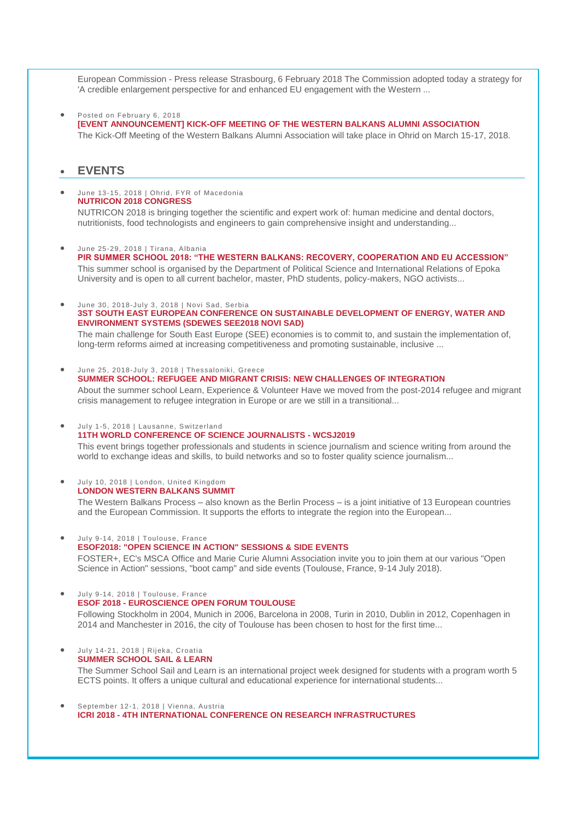European Commission - Press release Strasbourg, 6 February 2018 The Commission adopted today a strategy for 'A credible enlargement perspective for and enhanced EU engagement with the Western ...

 Posted on February 6, 2018 **[\[EVENT ANNOUNCEMENT\] KICK-OFF MEETING OF THE WESTERN BALKANS ALUMNI ASSOCIATION](https://wbc-rti.info/object/news/16856)** The Kick-Off Meeting of the Western Balkans Alumni Association will take place in Ohrid on March 15-17, 2018.

# **EVENTS**

- June 13-15, 2018 | Ohrid, FYR of Macedonia **[NUTRICON 2018 CONGRESS](https://wbc-rti.info/object/event/16898)** NUTRICON 2018 is bringing together the scientific and expert work of: human medicine and dental doctors, nutritionists, food technologists and engineers to gain comprehensive insight and understanding...
- June 25-29, 2018 | Tirana, Albania **[PIR SUMMER SCHOOL 2018: "THE WESTERN BALKANS: RECOVERY, COOPERATION AND EU ACCESSION"](https://wbc-rti.info/object/event/16880)** This summer school is organised by the Department of Political Science and International Relations of Epoka University and is open to all current bachelor, master, PhD students, policy-makers, NGO activists...
- June 30, 2018-July 3, 2018 | Novi Sad, Serbia **[3ST SOUTH EAST EUROPEAN CONFERENCE ON SUSTAINABLE DEVELOPMENT OF ENERGY, WATER AND](https://wbc-rti.info/object/event/16742)  [ENVIRONMENT SYSTEMS \(SDEWES SEE2018 NOVI SAD\)](https://wbc-rti.info/object/event/16742)**

The main challenge for South East Europe (SEE) economies is to commit to, and sustain the implementation of, long-term reforms aimed at increasing competitiveness and promoting sustainable, inclusive ...

- June 25, 2018-July 3, 2018 | Thessaloniki, Greece **[SUMMER SCHOOL: REFUGEE AND MIGRANT CRISIS: NEW CHALLENGES OF INTEGRATION](https://wbc-rti.info/object/event/16765)** About the summer school Learn, Experience & Volunteer Have we moved from the post-2014 refugee and migrant crisis management to refugee integration in Europe or are we still in a transitional...
- July 1-5, 2018 | Lausanne, Switzerland

## **[11TH WORLD CONFERENCE OF SCIENCE JOURNALISTS -](https://wbc-rti.info/object/event/16879) WCSJ2019**

This event brings together professionals and students in science journalism and science writing from around the world to exchange ideas and skills, to build networks and so to foster quality science journalism...

July 10, 2018 | London, United Kingdom **[LONDON WESTERN BALKANS SUMMIT](https://wbc-rti.info/object/event/16748)**

The Western Balkans Process – also known as the Berlin Process – is a joint initiative of 13 European countries and the European Commission. It supports the efforts to integrate the region into the European...

- July 9-14, 2018 | Toulouse, France **[ESOF2018: "OPEN SCIENCE IN ACTION" SESSIONS & SIDE EVENTS](https://wbc-rti.info/object/event/16695)** FOSTER+, EC's MSCA Office and Marie Curie Alumni Association invite you to join them at our various "Open Science in Action" sessions, "boot camp" and side events (Toulouse, France, 9-14 July 2018).
- July 9-14, 2018 | Toulouse, France **ESOF 2018 - [EUROSCIENCE OPEN FORUM TOULOUSE](https://wbc-rti.info/object/event/16037)** Following Stockholm in 2004, Munich in 2006, Barcelona in 2008, Turin in 2010, Dublin in 2012, Copenhagen in 2014 and Manchester in 2016, the city of Toulouse has been chosen to host for the first time...
- July 14-21, 2018 | Rijeka, Croatia **[SUMMER SCHOOL SAIL & LEARN](https://wbc-rti.info/object/event/16563)** The Summer School Sail and Learn is an international project week designed for students with a program worth 5 ECTS points. It offers a unique cultural and educational experience for international students...
- September 12-1, 2018 | Vienna, Austria **ICRI 2018 - [4TH INTERNATIONAL CONFERENCE ON RESEARCH INFRASTRUCTURES](https://wbc-rti.info/object/event/16732)**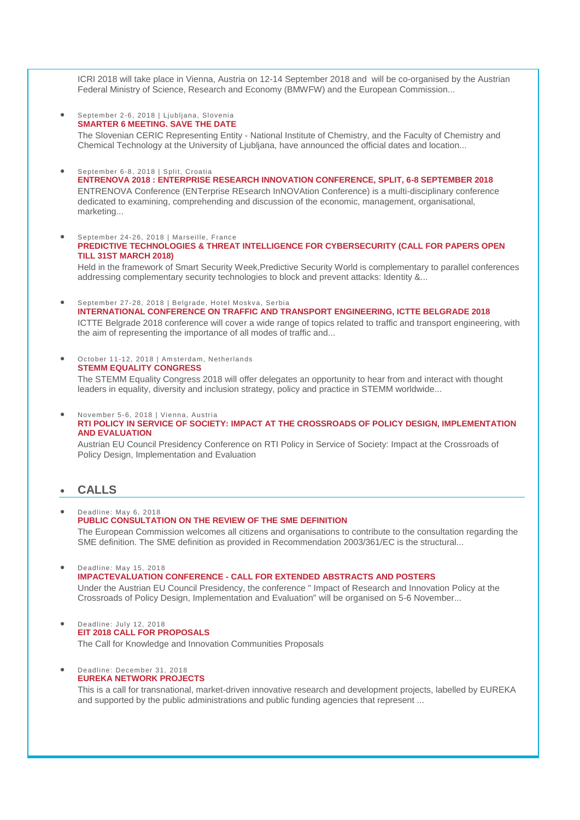ICRI 2018 will take place in Vienna, Austria on 12-14 September 2018 and will be co-organised by the Austrian Federal Ministry of Science, Research and Economy (BMWFW) and the European Commission...

- September 2-6, 2018 | Liubliana, Slovenia **[SMARTER 6 MEETING. SAVE THE DATE](https://wbc-rti.info/object/event/16920)** The Slovenian CERIC Representing Entity - National Institute of Chemistry, and the Faculty of Chemistry and Chemical Technology at the University of Ljubljana, have announced the official dates and location...
- September 6-8, 2018 | Split, Croatia **[ENTRENOVA 2018 : ENTERPRISE RESEARCH INNOVATION CONFERENCE, SPLIT, 6-8 SEPTEMBER 2018](https://wbc-rti.info/object/event/16659)** ENTRENOVA Conference (ENTerprise REsearch InNOVAtion Conference) is a multi-disciplinary conference dedicated to examining, comprehending and discussion of the economic, management, organisational, marketing...
- September 24-26, 2018 | Marseille, France **[PREDICTIVE TECHNOLOGIES & THREAT INTELLIGENCE](https://wbc-rti.info/object/event/16897) FOR CYBERSECURITY (CALL FOR PAPERS OPEN [TILL 31ST MARCH 2018\)](https://wbc-rti.info/object/event/16897)**

Held in the framework of Smart Security Week,Predictive Security World is complementary to parallel conferences addressing complementary security technologies to block and prevent attacks: Identity &...

- September 27-28, 2018 | Belgrade, Hotel Moskva, Serbia **[INTERNATIONAL CONFERENCE ON TRAFFIC AND TRANSPORT ENGINEERING, ICTTE BELGRADE 2018](https://wbc-rti.info/object/event/16668)** ICTTE Belgrade 2018 conference will cover a wide range of topics related to traffic and transport engineering, with the aim of representing the importance of all modes of traffic and...
- October 11-12, 2018 | Amsterdam, Netherlands **[STEMM EQUALITY CONGRESS](https://wbc-rti.info/object/event/16928)** The STEMM Equality Congress 2018 will offer delegates an opportunity to hear from and interact with thought

leaders in equality, diversity and inclusion strategy, policy and practice in STEMM worldwide...

November 5-6, 2018 | Vienna, Austria

#### **[RTI POLICY IN SERVICE OF SOCIETY: IMPACT AT THE CROSSROADS OF POLICY DESIGN, IMPLEMENTATION](https://wbc-rti.info/object/event/16839)  [AND EVALUATION](https://wbc-rti.info/object/event/16839)**

Austrian EU Council Presidency Conference on RTI Policy in Service of Society: Impact at the Crossroads of Policy Design, Implementation and Evaluation

# **CALLS**

 Deadline: May 6, 2018 **[PUBLIC CONSULTATION ON THE REVIEW OF THE SME DEFINITION](https://wbc-rti.info/object/call/16948)** The European Commission welcomes all citizens and organisations to contribute to the consultation regarding the

SME definition. The SME definition as provided in Recommendation 2003/361/EC is the structural...

Deadline: May 15, 2018

## **IMPACTEVALUATION CONFERENCE - [CALL FOR EXTENDED ABSTRACTS AND POSTERS](https://wbc-rti.info/object/call/17010)**

Under the Austrian EU Council Presidency, the conference " Impact of Research and Innovation Policy at the Crossroads of Policy Design, Implementation and Evaluation" will be organised on 5-6 November...

 Deadline: July 12, 2018 **[EIT 2018 CALL FOR PROPOSALS](https://wbc-rti.info/object/call/16807)** The Call for Knowledge and Innovation Communities Proposals

 Deadline: December 31, 2018 **[EUREKA NETWORK PROJECTS](https://wbc-rti.info/object/call/16978)**

> This is a call for transnational, market-driven innovative research and development projects, labelled by EUREKA and supported by the public administrations and public funding agencies that represent ...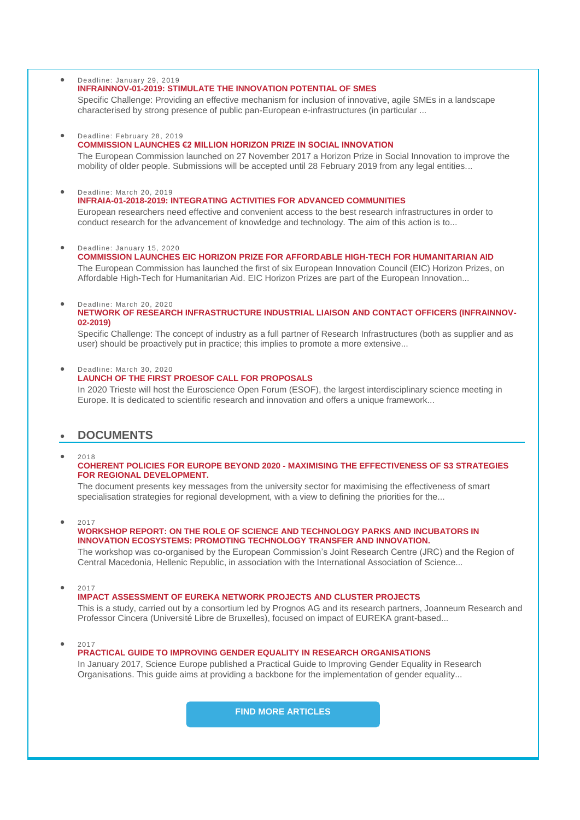# Deadline: January 29, 2019 **[INFRAINNOV-01-2019: STIMULATE THE INNOVATION POTENTIAL OF SMES](https://wbc-rti.info/object/call/16932)**

Specific Challenge: Providing an effective mechanism for inclusion of innovative, agile SMEs in a landscape characterised by strong presence of public pan-European e-infrastructures (in particular ...

# Deadline: February 28, 2019

# **[COMMISSION LAUNCHES €2 MILLION HORIZON PRIZE IN SOCIAL INNOVATION](https://wbc-rti.info/object/call/16687)**

The European Commission launched on 27 November 2017 a Horizon Prize in Social Innovation to improve the mobility of older people. Submissions will be accepted until 28 February 2019 from any legal entities...

# Deadline: March 20, 2019

**[INFRAIA-01-2018-2019: INTEGRATING ACTIVITIES FOR ADVANCED COMMUNITIES](https://wbc-rti.info/object/call/16934)**

European researchers need effective and convenient access to the best research infrastructures in order to conduct research for the advancement of knowledge and technology. The aim of this action is to...

### Deadline: January 15, 2020

**[COMMISSION LAUNCHES EIC HORIZON PRIZE FOR AFFORDABLE HIGH-TECH FOR HUMANITARIAN AID](https://wbc-rti.info/object/call/16702)** The European Commission has launched the first of six European Innovation Council (EIC) Horizon Prizes, on Affordable High-Tech for Humanitarian Aid. EIC Horizon Prizes are part of the European Innovation...

## Deadline: March 20, 2020

**[NETWORK OF RESEARCH INFRASTRUCTURE INDUSTRIAL LIAISON AND CONTACT OFFICERS \(INFRAINNOV-](https://wbc-rti.info/object/call/16933)[02-2019\)](https://wbc-rti.info/object/call/16933)**

Specific Challenge: The concept of industry as a full partner of Research Infrastructures (both as supplier and as user) should be proactively put in practice; this implies to promote a more extensive...

## Deadline: March 30, 2020

# **[LAUNCH OF THE FIRST PROESOF CALL FOR PROPOSALS](https://wbc-rti.info/object/call/17017)**

In 2020 Trieste will host the Euroscience Open Forum (ESOF), the largest interdisciplinary science meeting in Europe. It is dedicated to scientific research and innovation and offers a unique framework...

# **DOCUMENTS**

<sup>2018</sup>

### **COHERENT POLICIES FOR EUROPE BEYOND 2020 - [MAXIMISING THE EFFECTIVENESS OF S3 STRATEGIES](https://wbc-rti.info/object/document/16900)  [FOR REGIONAL DEVELOPMENT.](https://wbc-rti.info/object/document/16900)**

The document presents key messages from the university sector for maximising the effectiveness of smart specialisation strategies for regional development, with a view to defining the priorities for the...

<sup>2017</sup>

## **[WORKSHOP REPORT: ON THE ROLE OF SCIENCE AND TECHNOLOGY PARKS AND INCUBATORS IN](https://wbc-rti.info/object/document/16705)  [INNOVATION ECOSYSTEMS: PROMOTING TECHNOLOGY TRANSFER AND INNOVATION.](https://wbc-rti.info/object/document/16705)**

The workshop was co-organised by the European Commission's Joint Research Centre (JRC) and the Region of Central Macedonia, Hellenic Republic, in association with the International Association of Science...

<sup>2017</sup>

# **[IMPACT ASSESSMENT OF EUREKA NETWORK PROJECTS AND CLUSTER PROJECTS](https://wbc-rti.info/object/document/16976)**

This is a study, carried out by a consortium led by Prognos AG and its research partners, Joanneum Research and Professor Cincera (Université Libre de Bruxelles), focused on impact of EUREKA grant-based...

<sup>2017</sup>

# **PRACTICAL [GUIDE TO IMPROVING GENDER EQUALITY IN RESEARCH ORGANISATIONS](https://wbc-rti.info/object/document/15650)**

In January 2017, Science Europe published a Practical Guide to Improving Gender Equality in Research Organisations. This guide aims at providing a backbone for the implementation of gender equality...

**[FIND MORE ARTICLES](https://wbc-rti.info/)**